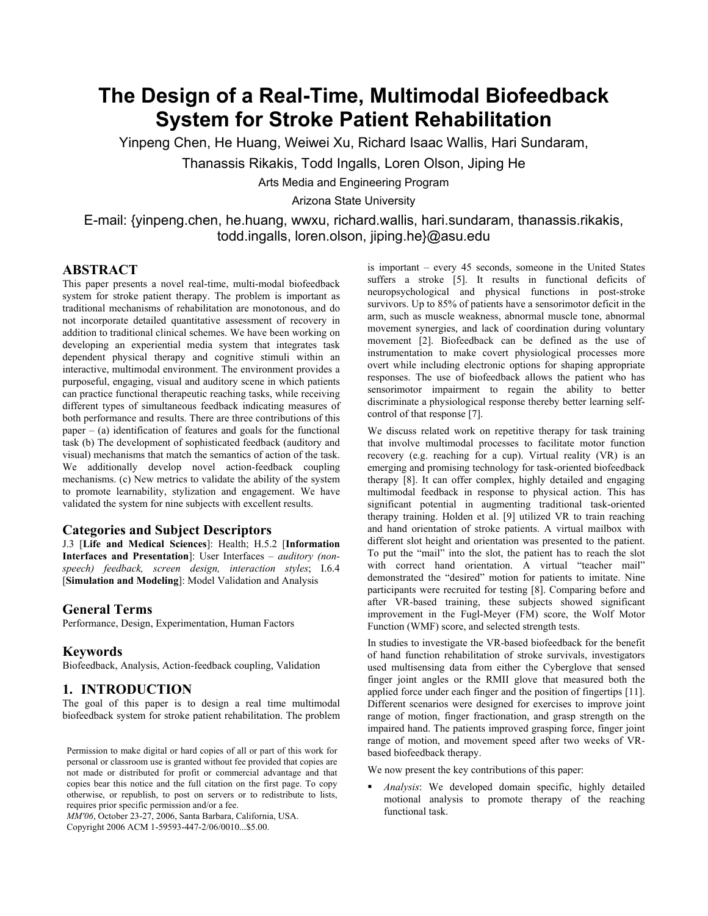# **The Design of a Real-Time, Multimodal Biofeedback System for Stroke Patient Rehabilitation**

Yinpeng Chen, He Huang, Weiwei Xu, Richard Isaac Wallis, Hari Sundaram,

Thanassis Rikakis, Todd Ingalls, Loren Olson, Jiping He

Arts Media and Engineering Program

Arizona State University

E-mail: {yinpeng.chen, he.huang, wwxu, richard.wallis, hari.sundaram, thanassis.rikakis, todd.ingalls, loren.olson, jiping.he}@asu.edu

# **ABSTRACT**

This paper presents a novel real-time, multi-modal biofeedback system for stroke patient therapy. The problem is important as traditional mechanisms of rehabilitation are monotonous, and do not incorporate detailed quantitative assessment of recovery in addition to traditional clinical schemes. We have been working on developing an experiential media system that integrates task dependent physical therapy and cognitive stimuli within an interactive, multimodal environment. The environment provides a purposeful, engaging, visual and auditory scene in which patients can practice functional therapeutic reaching tasks, while receiving different types of simultaneous feedback indicating measures of both performance and results. There are three contributions of this  $paper - (a) identification of features and goals for the functional$ task (b) The development of sophisticated feedback (auditory and visual) mechanisms that match the semantics of action of the task. We additionally develop novel action-feedback coupling mechanisms. (c) New metrics to validate the ability of the system to promote learnability, stylization and engagement. We have validated the system for nine subjects with excellent results.

# **Categories and Subject Descriptors**

J.3 [**Life and Medical Sciences**]: Health; H.5.2 [**Information Interfaces and Presentation**]: User Interfaces – *auditory (nonspeech) feedback, screen design, interaction styles*; I.6.4 [**Simulation and Modeling**]: Model Validation and Analysis

### **General Terms**

Performance, Design, Experimentation, Human Factors

#### **Keywords**

Biofeedback, Analysis, Action-feedback coupling, Validation

## **1. INTRODUCTION**

The goal of this paper is to design a real time multimodal biofeedback system for stroke patient rehabilitation. The problem

Permission to make digital or hard copies of all or part of this work for personal or classroom use is granted without fee provided that copies are not made or distributed for profit or commercial advantage and that copies bear this notice and the full citation on the first page. To copy otherwise, or republish, to post on servers or to redistribute to lists, requires prior specific permission and/or a fee.

*MM'06*, October 23-27, 2006, Santa Barbara, California, USA. Copyright 2006 ACM 1-59593-447-2/06/0010...\$5.00.

is important – every 45 seconds, someone in the United States suffers a stroke [5]. It results in functional deficits of neuropsychological and physical functions in post-stroke survivors. Up to 85% of patients have a sensorimotor deficit in the arm, such as muscle weakness, abnormal muscle tone, abnormal movement synergies, and lack of coordination during voluntary movement [2]. Biofeedback can be defined as the use of instrumentation to make covert physiological processes more overt while including electronic options for shaping appropriate responses. The use of biofeedback allows the patient who has sensorimotor impairment to regain the ability to better discriminate a physiological response thereby better learning selfcontrol of that response [7].

We discuss related work on repetitive therapy for task training that involve multimodal processes to facilitate motor function recovery (e.g. reaching for a cup). Virtual reality (VR) is an emerging and promising technology for task-oriented biofeedback therapy [8]. It can offer complex, highly detailed and engaging multimodal feedback in response to physical action. This has significant potential in augmenting traditional task-oriented therapy training. Holden et al. [9] utilized VR to train reaching and hand orientation of stroke patients. A virtual mailbox with different slot height and orientation was presented to the patient. To put the "mail" into the slot, the patient has to reach the slot with correct hand orientation. A virtual "teacher mail" demonstrated the "desired" motion for patients to imitate. Nine participants were recruited for testing [8]. Comparing before and after VR-based training, these subjects showed significant improvement in the Fugl-Meyer (FM) score, the Wolf Motor Function (WMF) score, and selected strength tests.

In studies to investigate the VR-based biofeedback for the benefit of hand function rehabilitation of stroke survivals, investigators used multisensing data from either the Cyberglove that sensed finger joint angles or the RMII glove that measured both the applied force under each finger and the position of fingertips [11]. Different scenarios were designed for exercises to improve joint range of motion, finger fractionation, and grasp strength on the impaired hand. The patients improved grasping force, finger joint range of motion, and movement speed after two weeks of VRbased biofeedback therapy.

We now present the key contributions of this paper:

 *Analysis*: We developed domain specific, highly detailed motional analysis to promote therapy of the reaching functional task.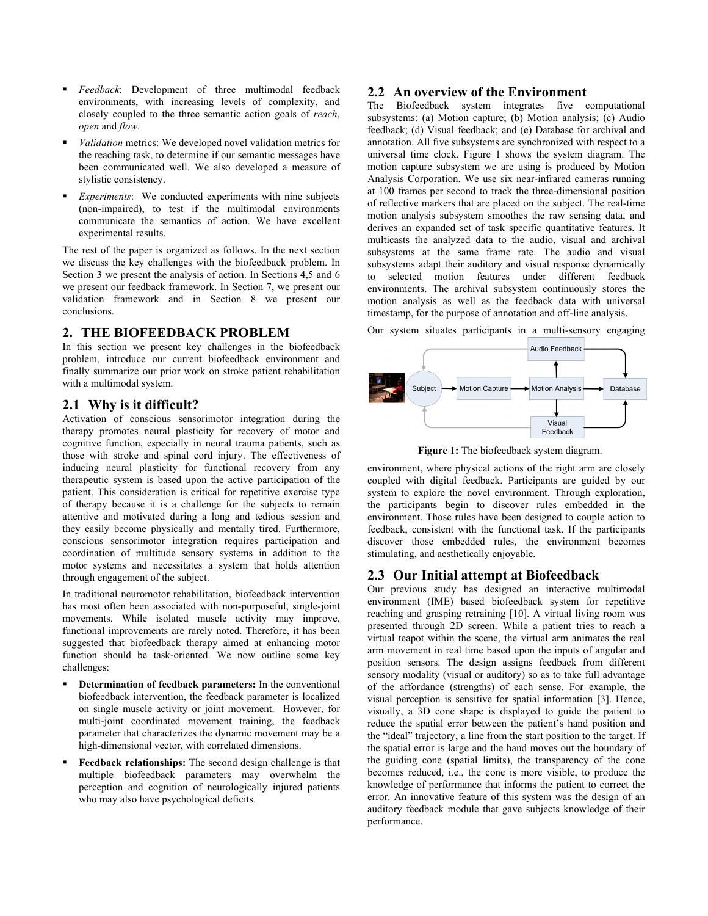- *Feedback*: Development of three multimodal feedback environments, with increasing levels of complexity, and closely coupled to the three semantic action goals of *reach*, *open* and *flow*.
- *Validation* metrics: We developed novel validation metrics for the reaching task, to determine if our semantic messages have been communicated well. We also developed a measure of stylistic consistency.
- *Experiments*: We conducted experiments with nine subjects (non-impaired), to test if the multimodal environments communicate the semantics of action. We have excellent experimental results.

The rest of the paper is organized as follows. In the next section we discuss the key challenges with the biofeedback problem. In Section 3 we present the analysis of action. In Sections 4,5 and 6 we present our feedback framework. In Section 7, we present our validation framework and in Section 8 we present our conclusions.

## **2. THE BIOFEEDBACK PROBLEM**

In this section we present key challenges in the biofeedback problem, introduce our current biofeedback environment and finally summarize our prior work on stroke patient rehabilitation with a multimodal system.

## **2.1 Why is it difficult?**

Activation of conscious sensorimotor integration during the therapy promotes neural plasticity for recovery of motor and cognitive function, especially in neural trauma patients, such as those with stroke and spinal cord injury. The effectiveness of inducing neural plasticity for functional recovery from any therapeutic system is based upon the active participation of the patient. This consideration is critical for repetitive exercise type of therapy because it is a challenge for the subjects to remain attentive and motivated during a long and tedious session and they easily become physically and mentally tired. Furthermore, conscious sensorimotor integration requires participation and coordination of multitude sensory systems in addition to the motor systems and necessitates a system that holds attention through engagement of the subject.

In traditional neuromotor rehabilitation, biofeedback intervention has most often been associated with non-purposeful, single-joint movements. While isolated muscle activity may improve, functional improvements are rarely noted. Therefore, it has been suggested that biofeedback therapy aimed at enhancing motor function should be task-oriented. We now outline some key challenges:

- **Determination of feedback parameters:** In the conventional biofeedback intervention, the feedback parameter is localized on single muscle activity or joint movement. However, for multi-joint coordinated movement training, the feedback parameter that characterizes the dynamic movement may be a high-dimensional vector, with correlated dimensions.
- **Feedback relationships:** The second design challenge is that multiple biofeedback parameters may overwhelm the perception and cognition of neurologically injured patients who may also have psychological deficits.

## **2.2 An overview of the Environment**

The Biofeedback system integrates five computational subsystems: (a) Motion capture; (b) Motion analysis; (c) Audio feedback; (d) Visual feedback; and (e) Database for archival and annotation. All five subsystems are synchronized with respect to a universal time clock. Figure 1 shows the system diagram. The motion capture subsystem we are using is produced by Motion Analysis Corporation. We use six near-infrared cameras running at 100 frames per second to track the three-dimensional position of reflective markers that are placed on the subject. The real-time motion analysis subsystem smoothes the raw sensing data, and derives an expanded set of task specific quantitative features. It multicasts the analyzed data to the audio, visual and archival subsystems at the same frame rate. The audio and visual subsystems adapt their auditory and visual response dynamically to selected motion features under different feedback environments. The archival subsystem continuously stores the motion analysis as well as the feedback data with universal timestamp, for the purpose of annotation and off-line analysis.

Our system situates participants in a multi-sensory engaging



**Figure 1:** The biofeedback system diagram.

environment, where physical actions of the right arm are closely coupled with digital feedback. Participants are guided by our system to explore the novel environment. Through exploration, the participants begin to discover rules embedded in the environment. Those rules have been designed to couple action to feedback, consistent with the functional task. If the participants discover those embedded rules, the environment becomes stimulating, and aesthetically enjoyable.

# **2.3 Our Initial attempt at Biofeedback**

Our previous study has designed an interactive multimodal environment (IME) based biofeedback system for repetitive reaching and grasping retraining [10]. A virtual living room was presented through 2D screen. While a patient tries to reach a virtual teapot within the scene, the virtual arm animates the real arm movement in real time based upon the inputs of angular and position sensors. The design assigns feedback from different sensory modality (visual or auditory) so as to take full advantage of the affordance (strengths) of each sense. For example, the visual perception is sensitive for spatial information [3]. Hence, visually, a 3D cone shape is displayed to guide the patient to reduce the spatial error between the patient's hand position and the "ideal" trajectory, a line from the start position to the target. If the spatial error is large and the hand moves out the boundary of the guiding cone (spatial limits), the transparency of the cone becomes reduced, i.e., the cone is more visible, to produce the knowledge of performance that informs the patient to correct the error. An innovative feature of this system was the design of an auditory feedback module that gave subjects knowledge of their performance.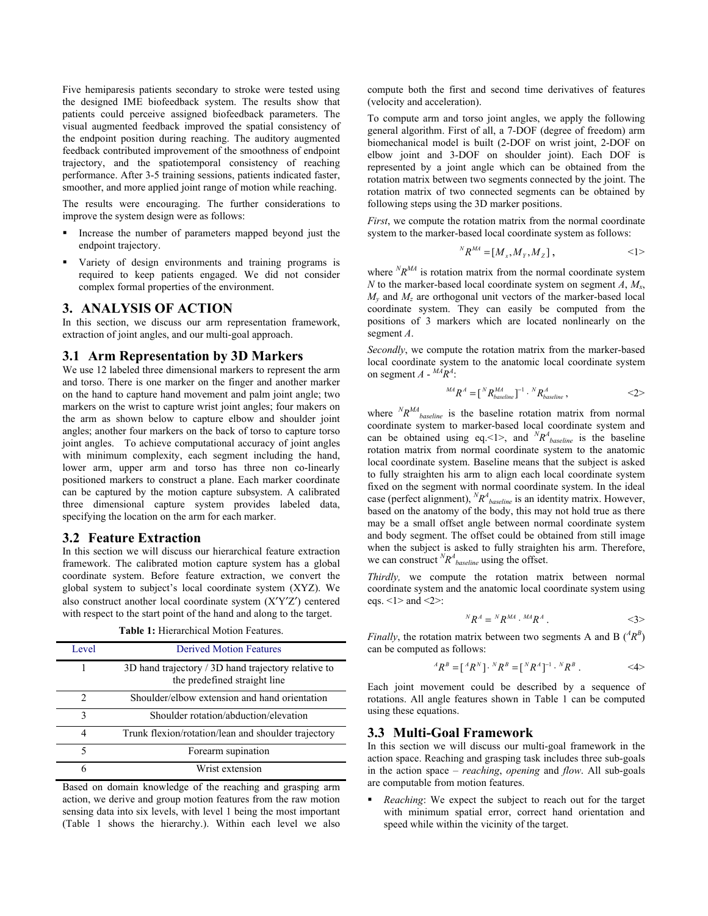Five hemiparesis patients secondary to stroke were tested using the designed IME biofeedback system. The results show that patients could perceive assigned biofeedback parameters. The visual augmented feedback improved the spatial consistency of the endpoint position during reaching. The auditory augmented feedback contributed improvement of the smoothness of endpoint trajectory, and the spatiotemporal consistency of reaching performance. After 3-5 training sessions, patients indicated faster, smoother, and more applied joint range of motion while reaching.

The results were encouraging. The further considerations to improve the system design were as follows:

- Increase the number of parameters mapped beyond just the endpoint trajectory.
- Variety of design environments and training programs is required to keep patients engaged. We did not consider complex formal properties of the environment.

## **3. ANALYSIS OF ACTION**

In this section, we discuss our arm representation framework, extraction of joint angles, and our multi-goal approach.

## **3.1 Arm Representation by 3D Markers**

We use 12 labeled three dimensional markers to represent the arm and torso. There is one marker on the finger and another marker on the hand to capture hand movement and palm joint angle; two markers on the wrist to capture wrist joint angles; four makers on the arm as shown below to capture elbow and shoulder joint angles; another four markers on the back of torso to capture torso joint angles. To achieve computational accuracy of joint angles with minimum complexity, each segment including the hand, lower arm, upper arm and torso has three non co-linearly positioned markers to construct a plane. Each marker coordinate can be captured by the motion capture subsystem. A calibrated three dimensional capture system provides labeled data, specifying the location on the arm for each marker.

## **3.2 Feature Extraction**

In this section we will discuss our hierarchical feature extraction framework. The calibrated motion capture system has a global coordinate system. Before feature extraction, we convert the global system to subject's local coordinate system (XYZ). We also construct another local coordinate system (X′Y′Z′) centered with respect to the start point of the hand and along to the target.

**Table 1:** Hierarchical Motion Features.

| Level          | <b>Derived Motion Features</b>                                                      |
|----------------|-------------------------------------------------------------------------------------|
|                | 3D hand trajectory / 3D hand trajectory relative to<br>the predefined straight line |
| $\mathfrak{D}$ | Shoulder/elbow extension and hand orientation                                       |
| 3              | Shoulder rotation/abduction/elevation                                               |
| 4              | Trunk flexion/rotation/lean and shoulder trajectory                                 |
|                | Forearm supination                                                                  |
|                | Wrist extension                                                                     |

Based on domain knowledge of the reaching and grasping arm action, we derive and group motion features from the raw motion sensing data into six levels, with level 1 being the most important (Table 1 shows the hierarchy.). Within each level we also

compute both the first and second time derivatives of features (velocity and acceleration).

To compute arm and torso joint angles, we apply the following general algorithm. First of all, a 7-DOF (degree of freedom) arm biomechanical model is built (2-DOF on wrist joint, 2-DOF on elbow joint and 3-DOF on shoulder joint). Each DOF is represented by a joint angle which can be obtained from the rotation matrix between two segments connected by the joint. The rotation matrix of two connected segments can be obtained by following steps using the 3D marker positions.

*First*, we compute the rotation matrix from the normal coordinate system to the marker-based local coordinate system as follows:

$$
{}^{N}R^{MA} = [M_x, M_y, M_z], \qquad \qquad \leq 1 >
$$

where  ${}^N\!R^{MA}$  is rotation matrix from the normal coordinate system *N* to the marker-based local coordinate system on segment *A*,  $M_x$ , *M<sub>y</sub>* and *M<sub>z</sub>* are orthogonal unit vectors of the marker-based local coordinate system. They can easily be computed from the positions of 3 markers which are located nonlinearly on the segment *A*.

*Secondly*, we compute the rotation matrix from the marker-based local coordinate system to the anatomic local coordinate system on segment  $A - ^{MA}R^A$ :

$$
{}^{MA}R^A = [{}^N R_{baseline}^{MA}]^{-1} \cdot {}^N R^A_{baseline} , \qquad \qquad <2>
$$

where  ${}^N\!R^{MA}$ <sub>baseline</sub> is the baseline rotation matrix from normal coordinate system to marker-based local coordinate system and can be obtained using eq. <1>, and  ${}^N\!R^A_{\text{baseline}}$  is the baseline rotation matrix from normal coordinate system to the anatomic local coordinate system. Baseline means that the subject is asked to fully straighten his arm to align each local coordinate system fixed on the segment with normal coordinate system. In the ideal case (perfect alignment),  ${}^N\!R^4$ <sub>baseline</sub> is an identity matrix. However, based on the anatomy of the body, this may not hold true as there may be a small offset angle between normal coordinate system and body segment. The offset could be obtained from still image when the subject is asked to fully straighten his arm. Therefore, we can construct  ${}^N\!R^A_{\text{baseline}}$  using the offset.

*Thirdly,* we compute the rotation matrix between normal coordinate system and the anatomic local coordinate system using eqs.  $\leq$ 1> and  $\leq$ 2>:

$$
{}^N R^A = {}^N R^{MA} \cdot {}^{MA} R^A \,. \tag{3>}
$$

*Finally*, the rotation matrix between two segments A and B  $(^{A}R^{B})$ can be computed as follows:

$$
{}^{A}R^{B} = [{}^{A}R^{N}] \cdot {}^{N}R^{B} = [{}^{N}R^{A}]^{-1} \cdot {}^{N}R^{B} . \qquad \qquad \langle 4 \rangle
$$

Each joint movement could be described by a sequence of rotations. All angle features shown in Table 1 can be computed using these equations.

## **3.3 Multi-Goal Framework**

In this section we will discuss our multi-goal framework in the action space. Reaching and grasping task includes three sub-goals in the action space – *reaching*, *opening* and *flow*. All sub-goals are computable from motion features.

 *Reaching*: We expect the subject to reach out for the target with minimum spatial error, correct hand orientation and speed while within the vicinity of the target.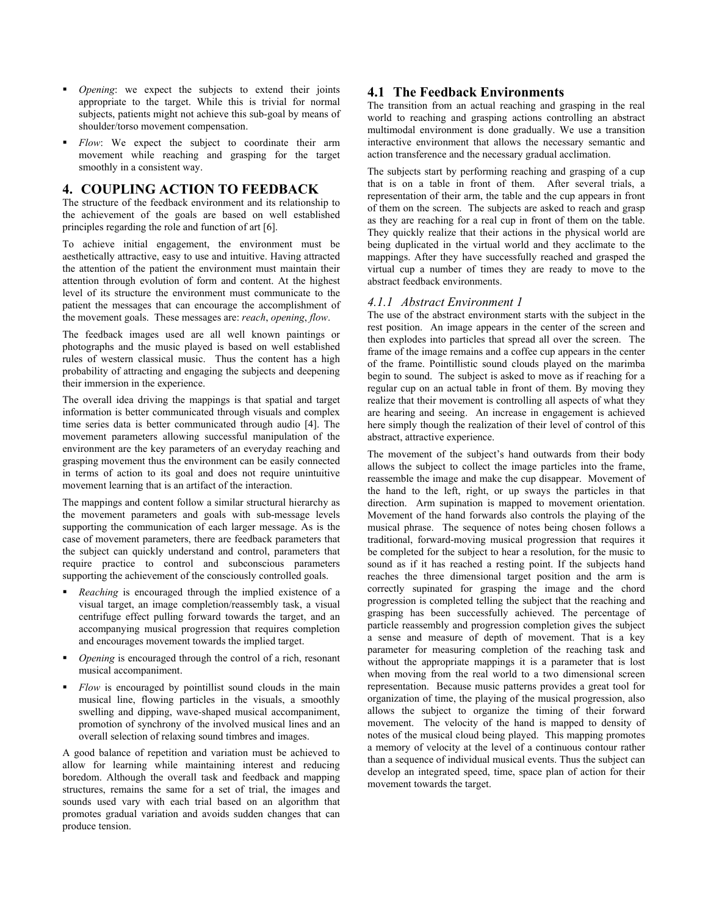- *Opening*: we expect the subjects to extend their joints appropriate to the target. While this is trivial for normal subjects, patients might not achieve this sub-goal by means of shoulder/torso movement compensation.
- *Flow*: We expect the subject to coordinate their arm movement while reaching and grasping for the target smoothly in a consistent way.

# **4. COUPLING ACTION TO FEEDBACK**

The structure of the feedback environment and its relationship to the achievement of the goals are based on well established principles regarding the role and function of art [6].

To achieve initial engagement, the environment must be aesthetically attractive, easy to use and intuitive. Having attracted the attention of the patient the environment must maintain their attention through evolution of form and content. At the highest level of its structure the environment must communicate to the patient the messages that can encourage the accomplishment of the movement goals. These messages are: *reach*, *opening*, *flow*.

The feedback images used are all well known paintings or photographs and the music played is based on well established rules of western classical music. Thus the content has a high probability of attracting and engaging the subjects and deepening their immersion in the experience.

The overall idea driving the mappings is that spatial and target information is better communicated through visuals and complex time series data is better communicated through audio [4]. The movement parameters allowing successful manipulation of the environment are the key parameters of an everyday reaching and grasping movement thus the environment can be easily connected in terms of action to its goal and does not require unintuitive movement learning that is an artifact of the interaction.

The mappings and content follow a similar structural hierarchy as the movement parameters and goals with sub-message levels supporting the communication of each larger message. As is the case of movement parameters, there are feedback parameters that the subject can quickly understand and control, parameters that require practice to control and subconscious parameters supporting the achievement of the consciously controlled goals.

- *Reaching* is encouraged through the implied existence of a visual target, an image completion/reassembly task, a visual centrifuge effect pulling forward towards the target, and an accompanying musical progression that requires completion and encourages movement towards the implied target.
- *Opening* is encouraged through the control of a rich, resonant musical accompaniment.
- *Flow* is encouraged by pointillist sound clouds in the main musical line, flowing particles in the visuals, a smoothly swelling and dipping, wave-shaped musical accompaniment, promotion of synchrony of the involved musical lines and an overall selection of relaxing sound timbres and images.

A good balance of repetition and variation must be achieved to allow for learning while maintaining interest and reducing boredom. Although the overall task and feedback and mapping structures, remains the same for a set of trial, the images and sounds used vary with each trial based on an algorithm that promotes gradual variation and avoids sudden changes that can produce tension.

# **4.1 The Feedback Environments**

The transition from an actual reaching and grasping in the real world to reaching and grasping actions controlling an abstract multimodal environment is done gradually. We use a transition interactive environment that allows the necessary semantic and action transference and the necessary gradual acclimation.

The subjects start by performing reaching and grasping of a cup that is on a table in front of them. After several trials, a representation of their arm, the table and the cup appears in front of them on the screen. The subjects are asked to reach and grasp as they are reaching for a real cup in front of them on the table. They quickly realize that their actions in the physical world are being duplicated in the virtual world and they acclimate to the mappings. After they have successfully reached and grasped the virtual cup a number of times they are ready to move to the abstract feedback environments.

# *4.1.1 Abstract Environment 1*

The use of the abstract environment starts with the subject in the rest position. An image appears in the center of the screen and then explodes into particles that spread all over the screen. The frame of the image remains and a coffee cup appears in the center of the frame. Pointillistic sound clouds played on the marimba begin to sound. The subject is asked to move as if reaching for a regular cup on an actual table in front of them. By moving they realize that their movement is controlling all aspects of what they are hearing and seeing. An increase in engagement is achieved here simply though the realization of their level of control of this abstract, attractive experience.

The movement of the subject's hand outwards from their body allows the subject to collect the image particles into the frame, reassemble the image and make the cup disappear. Movement of the hand to the left, right, or up sways the particles in that direction. Arm supination is mapped to movement orientation. Movement of the hand forwards also controls the playing of the musical phrase. The sequence of notes being chosen follows a traditional, forward-moving musical progression that requires it be completed for the subject to hear a resolution, for the music to sound as if it has reached a resting point. If the subjects hand reaches the three dimensional target position and the arm is correctly supinated for grasping the image and the chord progression is completed telling the subject that the reaching and grasping has been successfully achieved. The percentage of particle reassembly and progression completion gives the subject a sense and measure of depth of movement. That is a key parameter for measuring completion of the reaching task and without the appropriate mappings it is a parameter that is lost when moving from the real world to a two dimensional screen representation. Because music patterns provides a great tool for organization of time, the playing of the musical progression, also allows the subject to organize the timing of their forward movement. The velocity of the hand is mapped to density of notes of the musical cloud being played. This mapping promotes a memory of velocity at the level of a continuous contour rather than a sequence of individual musical events. Thus the subject can develop an integrated speed, time, space plan of action for their movement towards the target.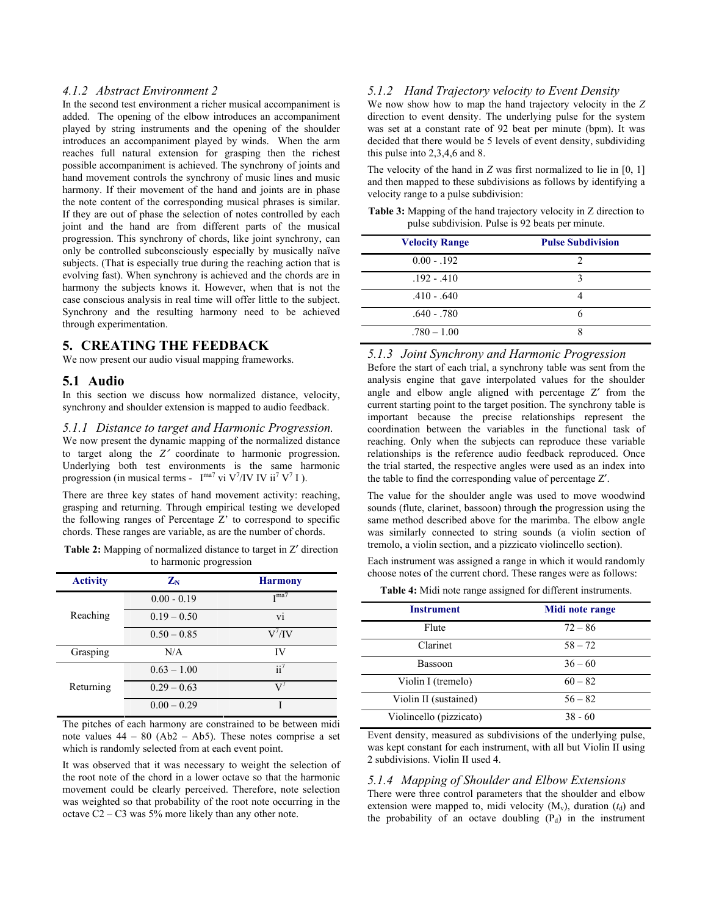#### *4.1.2 Abstract Environment 2*

In the second test environment a richer musical accompaniment is added. The opening of the elbow introduces an accompaniment played by string instruments and the opening of the shoulder introduces an accompaniment played by winds. When the arm reaches full natural extension for grasping then the richest possible accompaniment is achieved. The synchrony of joints and hand movement controls the synchrony of music lines and music harmony. If their movement of the hand and joints are in phase the note content of the corresponding musical phrases is similar. If they are out of phase the selection of notes controlled by each joint and the hand are from different parts of the musical progression. This synchrony of chords, like joint synchrony, can only be controlled subconsciously especially by musically naïve subjects. (That is especially true during the reaching action that is evolving fast). When synchrony is achieved and the chords are in harmony the subjects knows it. However, when that is not the case conscious analysis in real time will offer little to the subject. Synchrony and the resulting harmony need to be achieved through experimentation.

## **5. CREATING THE FEEDBACK**

We now present our audio visual mapping frameworks.

## **5.1 Audio**

In this section we discuss how normalized distance, velocity, synchrony and shoulder extension is mapped to audio feedback.

## *5.1.1 Distance to target and Harmonic Progression.*

We now present the dynamic mapping of the normalized distance to target along the *Z*′ coordinate to harmonic progression. Underlying both test environments is the same harmonic progression (in musical terms -  $I^{ma7}$  vi V<sup>7</sup>/IV IV ii<sup>7</sup> V<sup>7</sup> I).

There are three key states of hand movement activity: reaching, grasping and returning. Through empirical testing we developed the following ranges of Percentage Z' to correspond to specific chords. These ranges are variable, as are the number of chords.

**Table 2:** Mapping of normalized distance to target in Z′ direction to harmonic progression

| <b>Activity</b> | $\mathbf{Z_N}$ | <b>Harmony</b>   |  |
|-----------------|----------------|------------------|--|
|                 | $0.00 - 0.19$  | T <sub>ma7</sub> |  |
| Reaching        | $0.19 - 0.50$  | vi               |  |
|                 | $0.50 - 0.85$  | $V^7$ /IV        |  |
| Grasping        | N/A            | IV               |  |
|                 | $0.63 - 1.00$  | $\mathrm{i}i^7$  |  |
| Returning       | $0.29 - 0.63$  | $V^7$            |  |
|                 | $0.00 - 0.29$  |                  |  |

The pitches of each harmony are constrained to be between midi note values  $44 - 80$  (Ab2 – Ab5). These notes comprise a set which is randomly selected from at each event point.

It was observed that it was necessary to weight the selection of the root note of the chord in a lower octave so that the harmonic movement could be clearly perceived. Therefore, note selection was weighted so that probability of the root note occurring in the octave  $C2 - C3$  was  $5\%$  more likely than any other note.

## *5.1.2 Hand Trajectory velocity to Event Density*

We now show how to map the hand trajectory velocity in the *Z* direction to event density. The underlying pulse for the system was set at a constant rate of 92 beat per minute (bpm). It was decided that there would be 5 levels of event density, subdividing this pulse into 2,3,4,6 and 8.

The velocity of the hand in *Z* was first normalized to lie in [0, 1] and then mapped to these subdivisions as follows by identifying a velocity range to a pulse subdivision:

| <b>Table 3:</b> Mapping of the hand trajectory velocity in Z direction to |
|---------------------------------------------------------------------------|
| pulse subdivision. Pulse is 92 beats per minute.                          |

| <b>Velocity Range</b> | <b>Pulse Subdivision</b> |
|-----------------------|--------------------------|
| $0.00 - 0.192$        |                          |
| $.192 - .410$         | 3                        |
| $.410 - .640$         |                          |
| $.640 - .780$         |                          |
| $.780 - 1.00$         |                          |

#### *5.1.3 Joint Synchrony and Harmonic Progression*

Before the start of each trial, a synchrony table was sent from the analysis engine that gave interpolated values for the shoulder angle and elbow angle aligned with percentage Z′ from the current starting point to the target position. The synchrony table is important because the precise relationships represent the coordination between the variables in the functional task of reaching. Only when the subjects can reproduce these variable relationships is the reference audio feedback reproduced. Once the trial started, the respective angles were used as an index into the table to find the corresponding value of percentage Z′.

The value for the shoulder angle was used to move woodwind sounds (flute, clarinet, bassoon) through the progression using the same method described above for the marimba. The elbow angle was similarly connected to string sounds (a violin section of tremolo, a violin section, and a pizzicato violincello section).

Each instrument was assigned a range in which it would randomly choose notes of the current chord. These ranges were as follows:

**Table 4:** Midi note range assigned for different instruments.

| <b>Instrument</b>       | Midi note range |
|-------------------------|-----------------|
| Flute                   | $72 - 86$       |
| Clarinet                | $58 - 72$       |
| <b>Bassoon</b>          | $36 - 60$       |
| Violin I (tremelo)      | $60 - 82$       |
| Violin II (sustained)   | $56 - 82$       |
| Violincello (pizzicato) | $38 - 60$       |

Event density, measured as subdivisions of the underlying pulse, was kept constant for each instrument, with all but Violin II using 2 subdivisions. Violin II used 4.

### *5.1.4 Mapping of Shoulder and Elbow Extensions*

There were three control parameters that the shoulder and elbow extension were mapped to, midi velocity  $(M_v)$ , duration  $(t_d)$  and the probability of an octave doubling  $(P_d)$  in the instrument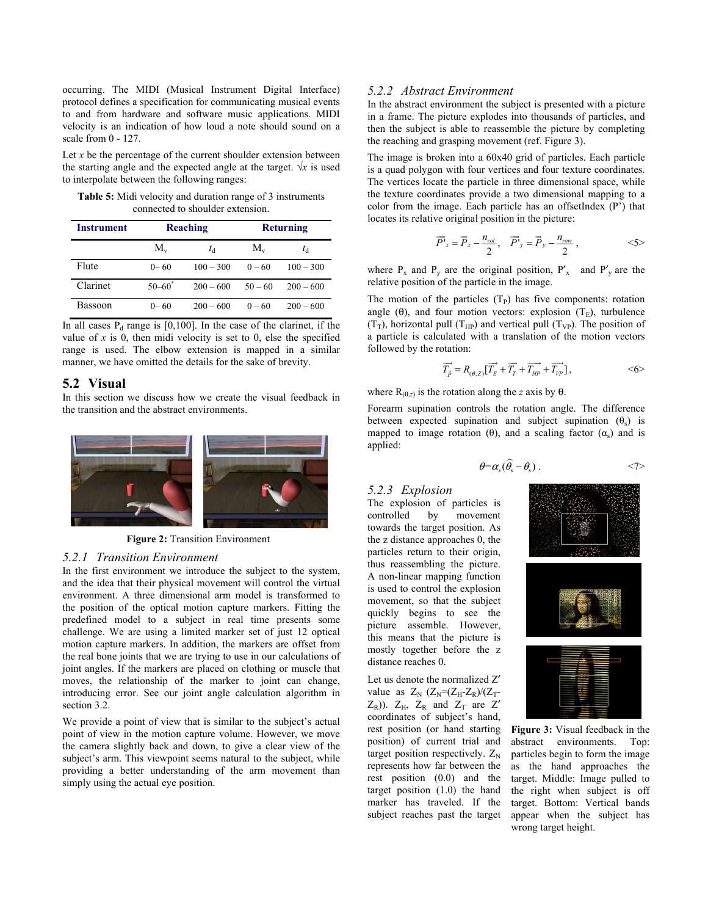occurring. The MIDI (Musical Instrument Digital Interface) protocol defines a specification for communicating musical events to and from hardware and software music applications. MIDI velocity is an indication of how loud a note should sound on a scale from 0 - 127.

Let  $x$  be the percentage of the current shoulder extension between the starting angle and the expected angle at the target.  $\sqrt{x}$  is used to interpolate between the following ranges:

**Table 5:** Midi velocity and duration range of 3 instruments connected to shoulder extension.

| <b>Instrument</b> | Reaching    |             | <b>Returning</b> |             |
|-------------------|-------------|-------------|------------------|-------------|
|                   | $M_{\rm v}$ | $t_{\rm d}$ | $M_{\rm v}$      | $t_{\rm d}$ |
| Flute             | $0 - 60$    | $100 - 300$ | $0 - 60$         | $100 - 300$ |
| Clarinet          | $50 - 60^*$ | $200 - 600$ | $50 - 60$        | $200 - 600$ |
| Bassoon           | $0 - 60$    | $200 - 600$ | $0 - 60$         | $200 - 600$ |

In all cases  $P_d$  range is [0,100]. In the case of the clarinet, if the value of  $x$  is 0, then midi velocity is set to 0, else the specified range is used. The elbow extension is mapped in a similar manner, we have omitted the details for the sake of brevity.

## **5.2 Visual**

In this section we discuss how we create the visual feedback in the transition and the abstract environments.



**Figure 2:** Transition Environment

#### *5.2.1 Transition Environment*

In the first environment we introduce the subject to the system, and the idea that their physical movement will control the virtual environment. A three dimensional arm model is transformed to the position of the optical motion capture markers. Fitting the predefined model to a subject in real time presents some challenge. We are using a limited marker set of just 12 optical motion capture markers. In addition, the markers are offset from the real bone joints that we are trying to use in our calculations of joint angles. If the markers are placed on clothing or muscle that moves, the relationship of the marker to joint can change, introducing error. See our joint angle calculation algorithm in section 3.2.

We provide a point of view that is similar to the subject's actual point of view in the motion capture volume. However, we move the camera slightly back and down, to give a clear view of the subject's arm. This viewpoint seems natural to the subject, while providing a better understanding of the arm movement than simply using the actual eye position.

#### *5.2.2 Abstract Environment*

In the abstract environment the subject is presented with a picture in a frame. The picture explodes into thousands of particles, and then the subject is able to reassemble the picture by completing the reaching and grasping movement (ref. Figure 3).

The image is broken into a 60x40 grid of particles. Each particle is a quad polygon with four vertices and four texture coordinates. The vertices locate the particle in three dimensional space, while the texture coordinates provide a two dimensional mapping to a color from the image. Each particle has an offsetIndex (P') that locates its relative original position in the picture:

$$
\overrightarrow{P}_{x} = \overrightarrow{P}_{x} - \frac{n_{col}}{2}, \quad \overrightarrow{P}_{y} = \overrightarrow{P}_{y} - \frac{n_{row}}{2}, \qquad \qquad \langle 5 \rangle
$$

where  $P_x$  and  $P_y$  are the original position,  $P'_x$  and  $P'_y$  are the relative position of the particle in the image.

The motion of the particles  $(T_P)$  has five components: rotation angle ( $\theta$ ), and four motion vectors: explosion (T<sub>E</sub>), turbulence  $(T_T)$ , horizontal pull  $(T_{HP})$  and vertical pull  $(T_{VP})$ . The position of a particle is calculated with a translation of the motion vectors followed by the rotation:

$$
\overrightarrow{T_{\overrightarrow{p}}} = R_{(\theta, Z)} [\overrightarrow{T_{E}} + \overrightarrow{T_{T}} + \overrightarrow{T_{HP}} + \overrightarrow{T_{VP}}],
$$
  $<6>$ 

where  $R_{(\theta,z)}$  is the rotation along the *z* axis by  $\theta$ .

Forearm supination controls the rotation angle. The difference between expected supination and subject supination  $(\theta_s)$  is mapped to image rotation (θ), and a scaling factor  $(\alpha_s)$  and is applied:

$$
\theta = \alpha_s (\widehat{\theta}_s - \theta_s) \ . \tag{7>}
$$

#### *5.2.3 Explosion*

The explosion of particles is controlled by movement towards the target position. As the z distance approaches 0, the particles return to their origin, thus reassembling the picture. A non-linear mapping function is used to control the explosion movement, so that the subject quickly begins to see the picture assemble. However, this means that the picture is mostly together before the z distance reaches 0.

Let us denote the normalized Z′ value as  $Z_N$   $(Z_N=(Z_H-Z_R)/(Z_T$ - $Z_R$ )).  $Z_H$ ,  $Z_R$  and  $Z_T$  are  $Z'$ coordinates of subject's hand, rest position (or hand starting position) of current trial and target position respectively.  $Z_N$ represents how far between the rest position (0.0) and the target position (1.0) the hand marker has traveled. If the subject reaches past the target







**Figure 3:** Visual feedback in the abstract environments. Top: particles begin to form the image as the hand approaches the target. Middle: Image pulled to the right when subject is off target. Bottom: Vertical bands appear when the subject has wrong target height.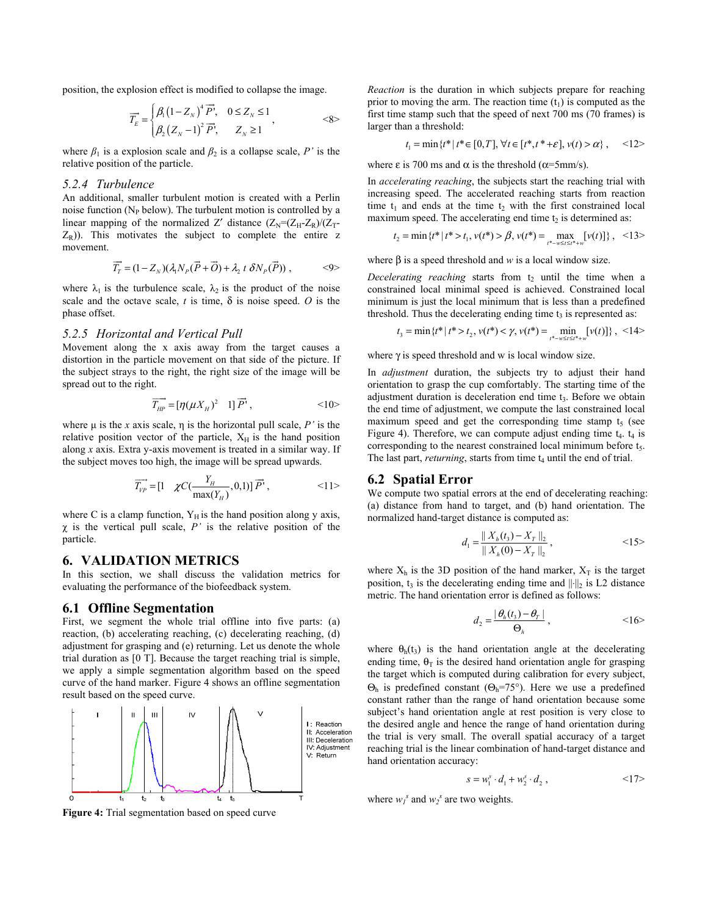position, the explosion effect is modified to collapse the image.

$$
\overrightarrow{T_{E}}=\begin{cases}\beta_{\mathrm{i}}\left(1-Z_{_{N}}\right)^{4}\overrightarrow{P}, & 0\leq Z_{_{N}}\leq1 \\ \beta_{2}\left(Z_{_{N}}-1\right)^{2}\overrightarrow{P}, & Z_{_{N}}\geq1\end{cases},\qquad\qquad\mathcal{S}\mathcal{S}
$$

where  $\beta_1$  is a explosion scale and  $\beta_2$  is a collapse scale, *P'* is the relative position of the particle.

## *5.2.4 Turbulence*

An additional, smaller turbulent motion is created with a Perlin noise function ( $N_P$  below). The turbulent motion is controlled by a linear mapping of the normalized Z' distance  $(Z_N=(Z_H-Z_R)/(Z_T-\mathbb{I})$  $Z_R$ )). This motivates the subject to complete the entire z movement.

$$
\overrightarrow{T}_r = (1 - Z_N)(\lambda_1 N_P(\overrightarrow{P} + \overrightarrow{O}) + \lambda_2 t \, \delta N_P(\overrightarrow{P})) \,, \qquad \langle 9 \rangle
$$

where  $\lambda_1$  is the turbulence scale,  $\lambda_2$  is the product of the noise scale and the octave scale,  $t$  is time,  $\delta$  is noise speed. O is the phase offset.

#### *5.2.5 Horizontal and Vertical Pull*

Movement along the x axis away from the target causes a distortion in the particle movement on that side of the picture. If the subject strays to the right, the right size of the image will be spread out to the right.

$$
\overrightarrow{T_{HP}} = \left[\eta(\mu X_H)^2 \quad 1\right] \overrightarrow{P}', \qquad \qquad <10>
$$

where  $\mu$  is the *x* axis scale,  $\eta$  is the horizontal pull scale,  $P'$  is the relative position vector of the particle,  $X_H$  is the hand position along *x* axis. Extra y-axis movement is treated in a similar way. If the subject moves too high, the image will be spread upwards.

$$
\overrightarrow{T_{\nu P}} = \begin{bmatrix} 1 & \chi C(\frac{Y_H}{\max(Y_H)}, 0, 1) \end{bmatrix} \overrightarrow{P'}, \qquad \qquad <11>
$$

where C is a clamp function,  $Y_H$  is the hand position along y axis,  $\chi$  is the vertical pull scale,  $P'$  is the relative position of the particle.

## **6. VALIDATION METRICS**

In this section, we shall discuss the validation metrics for evaluating the performance of the biofeedback system.

#### **6.1 Offline Segmentation**

First, we segment the whole trial offline into five parts: (a) reaction, (b) accelerating reaching, (c) decelerating reaching, (d) adjustment for grasping and (e) returning. Let us denote the whole trial duration as [0 T]. Because the target reaching trial is simple, we apply a simple segmentation algorithm based on the speed curve of the hand marker. Figure 4 shows an offline segmentation result based on the speed curve.



**Figure 4:** Trial segmentation based on speed curve

*Reaction* is the duration in which subjects prepare for reaching prior to moving the arm. The reaction time  $(t_1)$  is computed as the first time stamp such that the speed of next 700 ms (70 frames) is larger than a threshold:

$$
t_1 = \min\{t^* | t^* \in [0, T], \forall t \in [t^*, t^* + \varepsilon], v(t) > \alpha\}, \quad \text{<} 12>
$$

where  $\varepsilon$  is 700 ms and  $\alpha$  is the threshold ( $\alpha$ =5mm/s).

In *accelerating reaching*, the subjects start the reaching trial with increasing speed. The accelerated reaching starts from reaction time  $t_1$  and ends at the time  $t_2$  with the first constrained local maximum speed. The accelerating end time  $t_2$  is determined as:

$$
t_2 = \min \{ t^* \mid t^* > t_1, v(t^*) > \beta, v(t^*) = \max_{t^* - w \le t \le t^* + w} [v(t)] \}, \quad \text{<13>
$$

where β is a speed threshold and *w* is a local window size.

*Decelerating reaching* starts from  $t_2$  until the time when a constrained local minimal speed is achieved. Constrained local minimum is just the local minimum that is less than a predefined threshold. Thus the decelerating ending time  $t_3$  is represented as:

$$
t_3 = \min\left\{t^* \mid t^* > t_2, \, v(t^*) < \gamma, \, v(t^*) = \min_{t^* - w \le t \le t^* + w} \left[ v(t) \right] \right\}, \, < 14 > 14
$$

where  $\gamma$  is speed threshold and w is local window size.

In *adjustment* duration, the subjects try to adjust their hand orientation to grasp the cup comfortably. The starting time of the adjustment duration is deceleration end time t<sub>3</sub>. Before we obtain the end time of adjustment, we compute the last constrained local maximum speed and get the corresponding time stamp  $t<sub>5</sub>$  (see Figure 4). Therefore, we can compute adjust ending time  $t_4$ .  $t_4$  is corresponding to the nearest constrained local minimum before  $t<sub>5</sub>$ . The last part, *returning*, starts from time t<sub>4</sub> until the end of trial.

### **6.2 Spatial Error**

We compute two spatial errors at the end of decelerating reaching: (a) distance from hand to target, and (b) hand orientation. The normalized hand-target distance is computed as:

$$
d_1 = \frac{\|X_h(t_3) - X_T\|_2}{\|X_h(0) - X_T\|_2},\tag{15}
$$

where  $X_h$  is the 3D position of the hand marker,  $X_T$  is the target position, t<sub>3</sub> is the decelerating ending time and  $\|\cdot\|_2$  is L2 distance metric. The hand orientation error is defined as follows:

$$
d_2 = \frac{|\theta_h(t_3) - \theta_r|}{\Theta_h},
$$
  $<16>$ 

where  $\theta_h(t_3)$  is the hand orientation angle at the decelerating ending time,  $\theta_T$  is the desired hand orientation angle for grasping the target which is computed during calibration for every subject, Θh is predefined constant (Θh=75°). Here we use a predefined constant rather than the range of hand orientation because some subject's hand orientation angle at rest position is very close to the desired angle and hence the range of hand orientation during the trial is very small. The overall spatial accuracy of a target reaching trial is the linear combination of hand-target distance and hand orientation accuracy:

$$
s = w_1^s \cdot d_1 + w_2^s \cdot d_2 , \qquad \qquad <17>
$$

where  $w_1^s$  and  $w_2^s$  are two weights.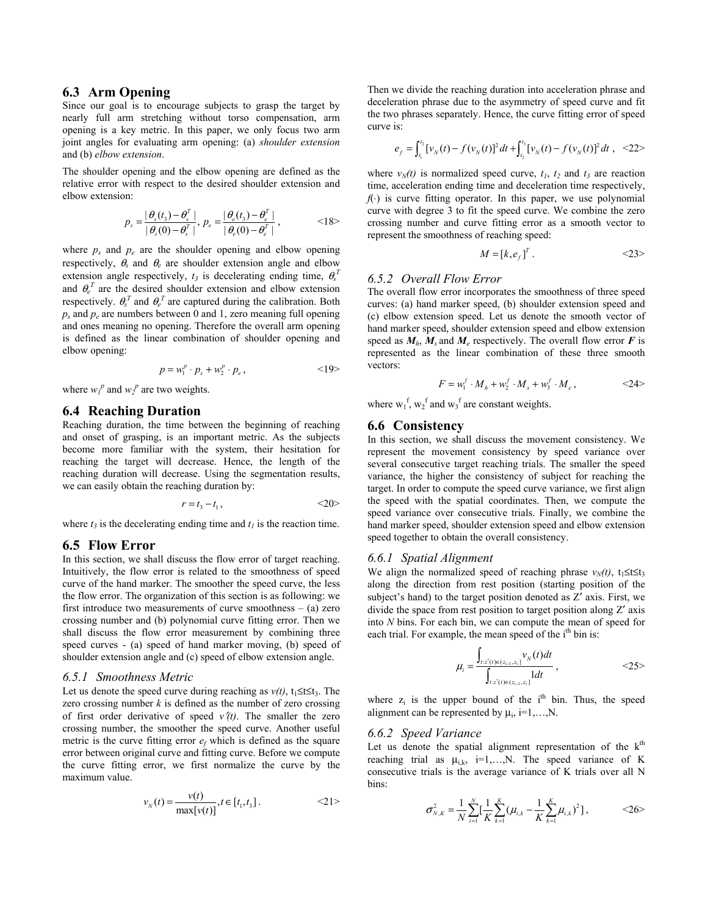## **6.3 Arm Opening**

Since our goal is to encourage subjects to grasp the target by nearly full arm stretching without torso compensation, arm opening is a key metric. In this paper, we only focus two arm joint angles for evaluating arm opening: (a) *shoulder extension* and (b) *elbow extension*.

The shoulder opening and the elbow opening are defined as the relative error with respect to the desired shoulder extension and elbow extension:

$$
p_s = \frac{|\theta_s(t_3) - \theta_s^T|}{|\theta_s(0) - \theta_s^T|}, p_e = \frac{|\theta_e(t_3) - \theta_e^T|}{|\theta_e(0) - \theta_e^T|},
$$
  $<18>$ 

where  $p_s$  and  $p_e$  are the shoulder opening and elbow opening respectively,  $\theta_s$  and  $\theta_e$  are shoulder extension angle and elbow extension angle respectively,  $t_3$  is decelerating ending time,  $\theta_s^T$ and  $\theta_e^T$  are the desired shoulder extension and elbow extension respectively.  $\theta_s^T$  and  $\theta_e^T$  are captured during the calibration. Both  $p_s$  and  $p_e$  are numbers between 0 and 1, zero meaning full opening and ones meaning no opening. Therefore the overall arm opening is defined as the linear combination of shoulder opening and elbow opening:

$$
p = w_1^p \cdot p_s + w_2^p \cdot p_e, \qquad \qquad \leq 19>
$$

where  $w_1^p$  and  $w_2^p$  are two weights.

#### **6.4 Reaching Duration**

Reaching duration, the time between the beginning of reaching and onset of grasping, is an important metric. As the subjects become more familiar with the system, their hesitation for reaching the target will decrease. Hence, the length of the reaching duration will decrease. Using the segmentation results, we can easily obtain the reaching duration by:

$$
r = t_3 - t_1, \qquad \qquad \leq 20>
$$

where  $t_3$  is the decelerating ending time and  $t_1$  is the reaction time.

## **6.5 Flow Error**

In this section, we shall discuss the flow error of target reaching. Intuitively, the flow error is related to the smoothness of speed curve of the hand marker. The smoother the speed curve, the less the flow error. The organization of this section is as following: we first introduce two measurements of curve smoothness  $-$  (a) zero crossing number and (b) polynomial curve fitting error. Then we shall discuss the flow error measurement by combining three speed curves - (a) speed of hand marker moving, (b) speed of shoulder extension angle and (c) speed of elbow extension angle.

#### *6.5.1 Smoothness Metric*

Let us denote the speed curve during reaching as  $v(t)$ , t<sub>1</sub>≤t≤t<sub>3</sub>. The zero crossing number  $k$  is defined as the number of zero crossing of first order derivative of speed  $v(t)$ . The smaller the zero crossing number, the smoother the speed curve. Another useful metric is the curve fitting error  $e_f$  which is defined as the square error between original curve and fitting curve. Before we compute the curve fitting error, we first normalize the curve by the maximum value.

$$
v_N(t) = \frac{v(t)}{\max[v(t)]}, t \in [t_1, t_3].
$$
  $\langle 21 \rangle$ 

Then we divide the reaching duration into acceleration phrase and deceleration phrase due to the asymmetry of speed curve and fit the two phrases separately. Hence, the curve fitting error of speed curve is:

$$
e_f = \int_{t_1}^{t_2} [v_N(t) - f(v_N(t))]^2 dt + \int_{t_2}^{t_3} [v_N(t) - f(v_N(t)]^2 dt , \quad \text{<22>}
$$

where  $v_N(t)$  is normalized speed curve,  $t_1$ ,  $t_2$  and  $t_3$  are reaction time, acceleration ending time and deceleration time respectively,  $f(\cdot)$  is curve fitting operator. In this paper, we use polynomial curve with degree 3 to fit the speed curve. We combine the zero crossing number and curve fitting error as a smooth vector to represent the smoothness of reaching speed:

$$
M = [k, e_f]^T. \tag{23}
$$

#### *6.5.2 Overall Flow Error*

The overall flow error incorporates the smoothness of three speed curves: (a) hand marker speed, (b) shoulder extension speed and (c) elbow extension speed. Let us denote the smooth vector of hand marker speed, shoulder extension speed and elbow extension speed as  $M_h$ ,  $M_s$  and  $M_e$  respectively. The overall flow error F is represented as the linear combination of these three smooth vectors:

$$
F = w_1^f \cdot M_h + w_2^f \cdot M_s + w_3^f \cdot M_e , \qquad \qquad <24>
$$

where  $w_1^f$ ,  $w_2^f$  and  $w_3^f$  are constant weights.

## **6.6 Consistency**

In this section, we shall discuss the movement consistency. We represent the movement consistency by speed variance over several consecutive target reaching trials. The smaller the speed variance, the higher the consistency of subject for reaching the target. In order to compute the speed curve variance, we first align the speed with the spatial coordinates. Then, we compute the speed variance over consecutive trials. Finally, we combine the hand marker speed, shoulder extension speed and elbow extension speed together to obtain the overall consistency.

#### *6.6.1 Spatial Alignment*

We align the normalized speed of reaching phrase  $v_N(t)$ , t<sub>1</sub>≤t≤t<sub>3</sub> along the direction from rest position (starting position of the subject's hand) to the target position denoted as Z′ axis. First, we divide the space from rest position to target position along Z′ axis into *N* bins. For each bin, we can compute the mean of speed for each trial. For example, the mean speed of the  $i<sup>th</sup>$  bin is:

$$
\mu_{i} = \frac{\int_{t:z'(t)\in(z_{i-1},z_{i}]}v_{N}(t)dt}{\int_{t:z'(t)\in(z_{i-1},z_{i}]}1dt},\tag{25>
$$

where  $z_i$  is the upper bound of the i<sup>th</sup> bin. Thus, the speed alignment can be represented by  $\mu_i$ , i=1,...,N.

# *6.6.2 Speed Variance*

Let us denote the spatial alignment representation of the  $k<sup>th</sup>$ reaching trial as  $\mu_{ik}$ , i=1,...,N. The speed variance of K consecutive trials is the average variance of K trials over all N bins:

$$
\sigma_{N,K}^2 = \frac{1}{N} \sum_{i=1}^N \left[ \frac{1}{K} \sum_{k=1}^K (\mu_{i,k} - \frac{1}{K} \sum_{k=1}^K \mu_{i,k})^2 \right],
$$
  $\langle 26 \rangle$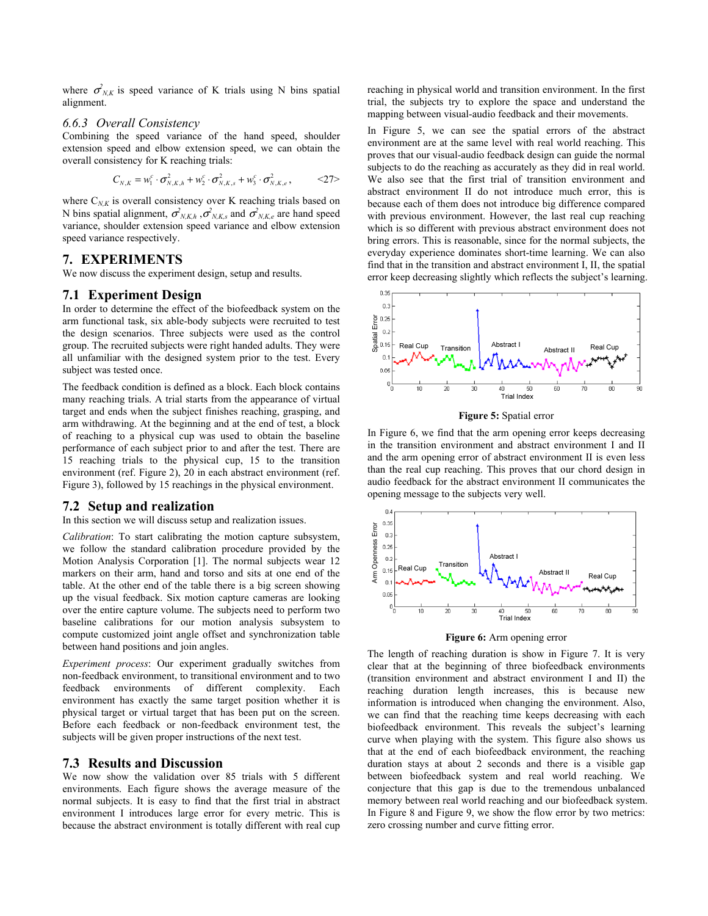where  $\sigma_{N,K}^2$  is speed variance of K trials using N bins spatial alignment.

## *6.6.3 Overall Consistency*

Combining the speed variance of the hand speed, shoulder extension speed and elbow extension speed, we can obtain the overall consistency for K reaching trials:

$$
C_{N,K} = w_1^c \cdot \sigma_{N,K,h}^2 + w_2^c \cdot \sigma_{N,K,s}^2 + w_3^c \cdot \sigma_{N,K,e}^2, \qquad \text{<27>}
$$

where  $C_{NK}$  is overall consistency over K reaching trials based on N bins spatial alignment,  $\sigma_{N,K,h}^2$ ,  $\sigma_{N,K,s}^2$  and  $\sigma_{N,K,e}^2$  are hand speed variance, shoulder extension speed variance and elbow extension speed variance respectively.

# **7. EXPERIMENTS**

We now discuss the experiment design, setup and results.

## **7.1 Experiment Design**

In order to determine the effect of the biofeedback system on the arm functional task, six able-body subjects were recruited to test the design scenarios. Three subjects were used as the control group. The recruited subjects were right handed adults. They were all unfamiliar with the designed system prior to the test. Every subject was tested once.

The feedback condition is defined as a block. Each block contains many reaching trials. A trial starts from the appearance of virtual target and ends when the subject finishes reaching, grasping, and arm withdrawing. At the beginning and at the end of test, a block of reaching to a physical cup was used to obtain the baseline performance of each subject prior to and after the test. There are 15 reaching trials to the physical cup, 15 to the transition environment (ref. Figure 2), 20 in each abstract environment (ref. Figure 3), followed by 15 reachings in the physical environment.

## **7.2 Setup and realization**

In this section we will discuss setup and realization issues.

*Calibration*: To start calibrating the motion capture subsystem, we follow the standard calibration procedure provided by the Motion Analysis Corporation [1]. The normal subjects wear 12 markers on their arm, hand and torso and sits at one end of the table. At the other end of the table there is a big screen showing up the visual feedback. Six motion capture cameras are looking over the entire capture volume. The subjects need to perform two baseline calibrations for our motion analysis subsystem to compute customized joint angle offset and synchronization table between hand positions and join angles.

*Experiment process*: Our experiment gradually switches from non-feedback environment, to transitional environment and to two feedback environments of different complexity. Each environment has exactly the same target position whether it is physical target or virtual target that has been put on the screen. Before each feedback or non-feedback environment test, the subjects will be given proper instructions of the next test.

## **7.3 Results and Discussion**

We now show the validation over 85 trials with 5 different environments. Each figure shows the average measure of the normal subjects. It is easy to find that the first trial in abstract environment I introduces large error for every metric. This is because the abstract environment is totally different with real cup reaching in physical world and transition environment. In the first trial, the subjects try to explore the space and understand the mapping between visual-audio feedback and their movements.

In Figure 5, we can see the spatial errors of the abstract environment are at the same level with real world reaching. This proves that our visual-audio feedback design can guide the normal subjects to do the reaching as accurately as they did in real world. We also see that the first trial of transition environment and abstract environment II do not introduce much error, this is because each of them does not introduce big difference compared with previous environment. However, the last real cup reaching which is so different with previous abstract environment does not bring errors. This is reasonable, since for the normal subjects, the everyday experience dominates short-time learning. We can also find that in the transition and abstract environment I, II, the spatial error keep decreasing slightly which reflects the subject's learning.



**Figure 5:** Spatial error

In Figure 6, we find that the arm opening error keeps decreasing in the transition environment and abstract environment I and II and the arm opening error of abstract environment II is even less than the real cup reaching. This proves that our chord design in audio feedback for the abstract environment II communicates the opening message to the subjects very well.



**Figure 6:** Arm opening error

The length of reaching duration is show in Figure 7. It is very clear that at the beginning of three biofeedback environments (transition environment and abstract environment I and II) the reaching duration length increases, this is because new information is introduced when changing the environment. Also, we can find that the reaching time keeps decreasing with each biofeedback environment. This reveals the subject's learning curve when playing with the system. This figure also shows us that at the end of each biofeedback environment, the reaching duration stays at about 2 seconds and there is a visible gap between biofeedback system and real world reaching. We conjecture that this gap is due to the tremendous unbalanced memory between real world reaching and our biofeedback system. In Figure 8 and Figure 9, we show the flow error by two metrics: zero crossing number and curve fitting error.